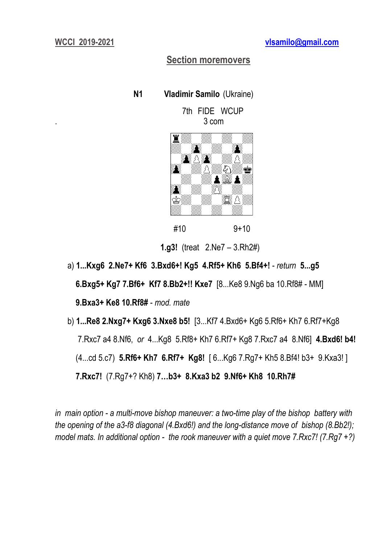# **Section moremovers**

 **N1 Vladimir Samilo** (Ukraine)

 7th FIDE WCUP . 3 com



#10 9+10

**1.g3!** (treat 2.Ne7 – 3.Rh2#)

 a) **1...Kxg6 2.Ne7+ Kf6 3.Bxd6+! Kg5 4.Rf5+ Kh6 5.Bf4+!** - *return* **5...g5 6.Bxg5+ Kg7 7.Bf6+ Kf7 8.Bb2+!! Kxe7** [8...Ke8 9.Ng6 ba 10.Rf8# - MM] **9.Bxa3+ Ke8 10.Rf8#** - *mod. mate*

b) **1...Re8 2.Nxg7+ Kxg6 3.Nxe8 b5!** [3...Kf7 4.Bxd6+ Kg6 5.Rf6+ Kh7 6.Rf7+Kg8 7.Rxc7 a4 8.Nf6, *or* 4...Kg8 5.Rf8+ Kh7 6.Rf7+ Kg8 7.Rxc7 a4 8.Nf6] **4.Bxd6! b4!** (4...cd 5.c7) **5.Rf6+ Kh7 6.Rf7+ Kg8!** [ 6...Kg6 7.Rg7+ Kh5 8.Bf4! b3+ 9.Kxa3! ] **7.Rxc7!** (7.Rg7+? Kh8) **7…b3+ 8.Kxa3 b2 9.Nf6+ Kh8 10.Rh7#**

*in main option - a multi-move bishop maneuver: a two-time play of the bishop battery with the opening of the a3-f8 diagonal (4.Bxd6!) and the long-distance move of bishop (8.Bb2!); model mats. In additional option - the rook maneuver with a quiet move 7.Rxc7! (7.Rg7 +?)*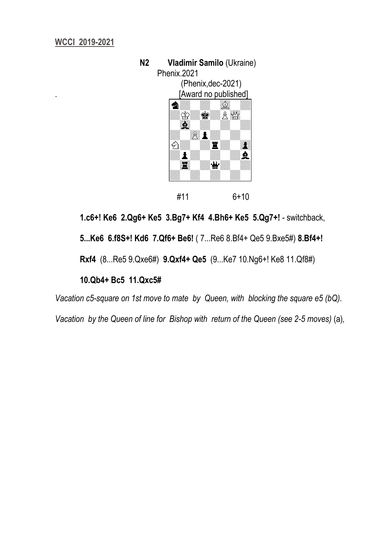

**1.c6+! Ke6 2.Qg6+ Ke5 3.Bg7+ Kf4 4.Bh6+ Ke5 5.Qg7+!** - switchback,

 **5...Ke6 6.f8S+! Kd6 7.Qf6+ Be6!** ( 7...Re6 8.Bf4+ Qe5 9.Bxe5#) **8.Bf4+!** 

 **Rxf4** (8...Re5 9.Qxe6#) **9.Qxf4+ Qe5** (9...Ke7 10.Ng6+! Ke8 11.Qf8#)

## **10.Qb4+ Bc5 11.Qxc5#**

*Vacation c5-square on 1st move to mate by Queen, with blocking the square e5 (bQ)*.

*Vacation by the Queen of line for Bishop with return of the Queen (see 2-5 moves)* (a)*,*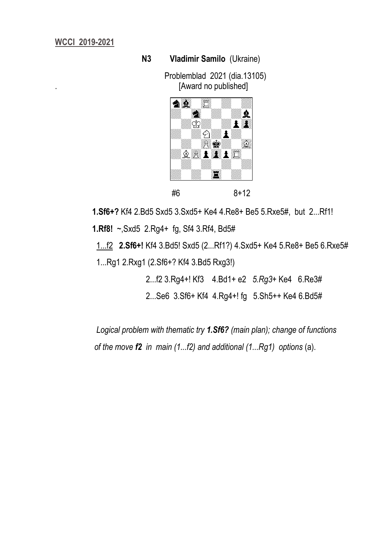#### **N3 Vladimir Samilo** (Ukraine)

 Problemblad 2021 (dia.13105) . [Award no published]



**1.Sf6+?** Kf4 2.Bd5 Sxd5 3.Sxd5+ Ke4 4.Re8+ Be5 5.Rxe5#, but 2...Rf1!

**1.Rf8!** ~,Sxd5 2.Rg4+ fg, Sf4 3.Rf4, Bd5#

 1...f2 **2.Sf6+!** Kf4 3.Bd5! Sxd5 (2...Rf1?) 4.Sxd5+ Ke4 5.Re8+ Be5 6.Rxe5# 1...Rg1 2.Rxg1 (2.Sf6+? Kf4 3.Bd5 Rxg3!)

2...f2 3.Rg4+! Kf3 4.Bd1+ e2 *5.Rg3+* Ke4 6.Re3#

2...Se6 3.Sf6+ Kf4 4.Rg4+! fg 5.Sh5++ Ke4 6.Bd5#

 *Logical problem with thematic try 1.Sf6? (main plan); change of functions of the move f2 in main (1...f2) and additional (1...Rg1) options* (a).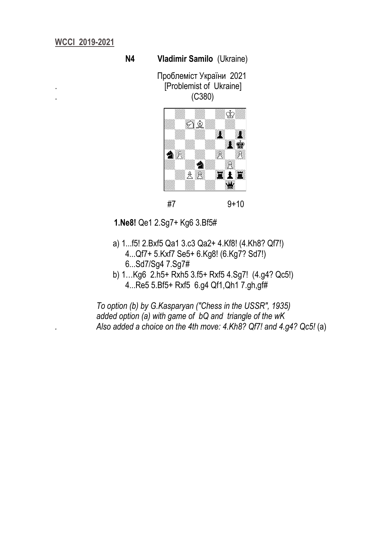#### **N4 Vladimir Samilo** (Ukraine)

 Проблеміст України 2021 . [Problemist of Ukraine] . (C380)



 **1.Ne8!** Qe1 2.Sg7+ Kg6 3.Bf5#

- a) 1...f5! 2.Bxf5 Qa1 3.c3 Qa2+ 4.Kf8! (4.Kh8? Qf7!) 4...Qf7+ 5.Kxf7 Se5+ 6.Kg8! (6.Kg7? Sd7!) 6...Sd7/Sg4 7.Sg7#
- b) 1…Kg6 2.h5+ Rxh5 3.f5+ Rxf5 4.Sg7! (4.g4? Qc5!) 4...Re5 5.Bf5+ Rxf5 6.g4 Qf1,Qh1 7.gh,gf#

 *To option (b) by G.Kasparyan ("Chess in the USSR", 1935) added option (a) with game of bQ and triangle of the wK . Also added a choice on the 4th move: 4.Kh8? Qf7! and 4.g4? Qc5!* (a)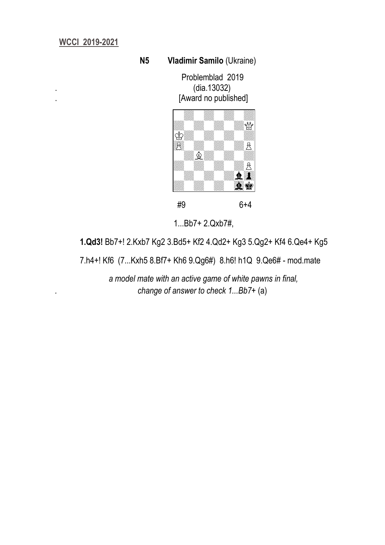### **N5 Vladimir Samilo** (Ukraine)

 Problemblad 2019 . (dia.13032) [Award no published]



#9 6+4

1...Bb7+ 2.Qxb7#,

**1.Qd3!** Bb7+! 2.Kxb7 Kg2 3.Bd5+ Kf2 4.Qd2+ Kg3 5.Qg2+ Kf4 6.Qe4+ Kg5

7.h4+! Kf6 (7...Kxh5 8.Bf7+ Kh6 9.Qg6#) 8.h6! h1Q 9.Qe6# - mod.mate

 *a model mate with an active game of white pawns in final, . change of answer to check 1...Bb7+* (a)